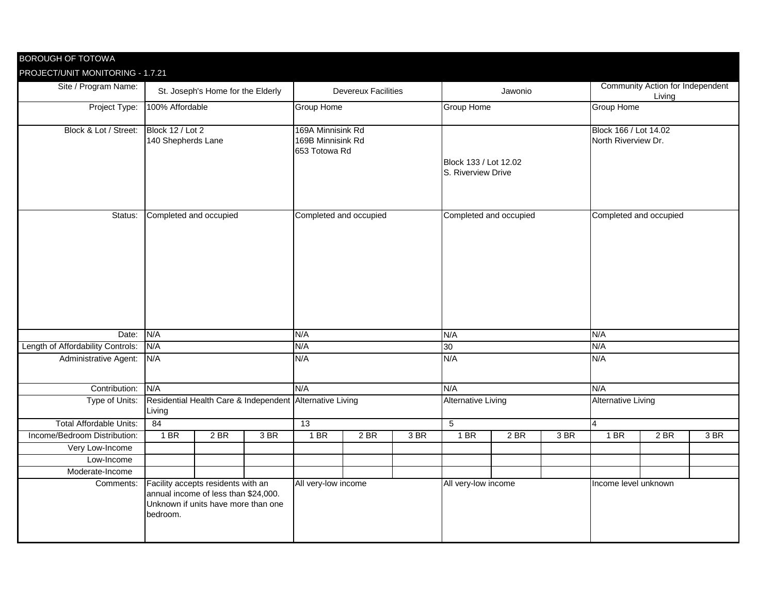| <b>BOROUGH OF TOTOWA</b>          |                                                                                                                               |      |      |                                                         |      |      |                                             |      |      |                                                   |      |      |
|-----------------------------------|-------------------------------------------------------------------------------------------------------------------------------|------|------|---------------------------------------------------------|------|------|---------------------------------------------|------|------|---------------------------------------------------|------|------|
| PROJECT/UNIT MONITORING - 1.7.21  |                                                                                                                               |      |      |                                                         |      |      |                                             |      |      |                                                   |      |      |
| Site / Program Name:              | St. Joseph's Home for the Elderly                                                                                             |      |      | <b>Devereux Facilities</b>                              |      |      | Jawonio                                     |      |      | <b>Community Action for Independent</b><br>Living |      |      |
| Project Type:                     | 100% Affordable                                                                                                               |      |      | <b>Group Home</b>                                       |      |      | <b>Group Home</b>                           |      |      | <b>Group Home</b>                                 |      |      |
| Block & Lot / Street:             | Block 12 / Lot 2<br>140 Shepherds Lane                                                                                        |      |      | 169A Minnisink Rd<br>169B Minnisink Rd<br>653 Totowa Rd |      |      | Block 133 / Lot 12.02<br>S. Riverview Drive |      |      | Block 166 / Lot 14.02<br>North Riverview Dr.      |      |      |
| Status:                           | Completed and occupied                                                                                                        |      |      | Completed and occupied                                  |      |      | Completed and occupied                      |      |      | Completed and occupied                            |      |      |
| Date:                             | N/A                                                                                                                           |      |      |                                                         | N/A  |      |                                             |      |      | N/A                                               |      |      |
| Length of Affordability Controls: | N/A                                                                                                                           |      |      | N/A                                                     |      |      | 30                                          |      |      | N/A                                               |      |      |
| <b>Administrative Agent:</b>      | N/A                                                                                                                           |      |      | N/A                                                     |      |      | N/A                                         |      |      | N/A                                               |      |      |
| Contribution: N/A                 |                                                                                                                               |      |      | N/A                                                     |      |      | N/A                                         |      |      | N/A                                               |      |      |
| Type of Units:                    | Residential Health Care & Independent Alternative Living<br>Living                                                            |      |      |                                                         |      |      | <b>Alternative Living</b>                   |      |      | <b>Alternative Living</b>                         |      |      |
| <b>Total Affordable Units:</b>    | 84                                                                                                                            |      |      | 13                                                      |      |      | $\overline{5}$                              |      |      | 4                                                 |      |      |
| Income/Bedroom Distribution:      | 1 BR                                                                                                                          | 2 BR | 3 BR | 1 BR                                                    | 2 BR | 3 BR | 1 BR                                        | 2 BR | 3 BR | 1 BR                                              | 2 BR | 3 BR |
| Very Low-Income                   |                                                                                                                               |      |      |                                                         |      |      |                                             |      |      |                                                   |      |      |
| Low-Income                        |                                                                                                                               |      |      |                                                         |      |      |                                             |      |      |                                                   |      |      |
| Moderate-Income                   |                                                                                                                               |      |      |                                                         |      |      |                                             |      |      |                                                   |      |      |
| Comments:                         | Facility accepts residents with an<br>annual income of less than \$24,000.<br>Unknown if units have more than one<br>bedroom. |      |      | All very-low income                                     |      |      | All very-low income                         |      |      | Income level unknown                              |      |      |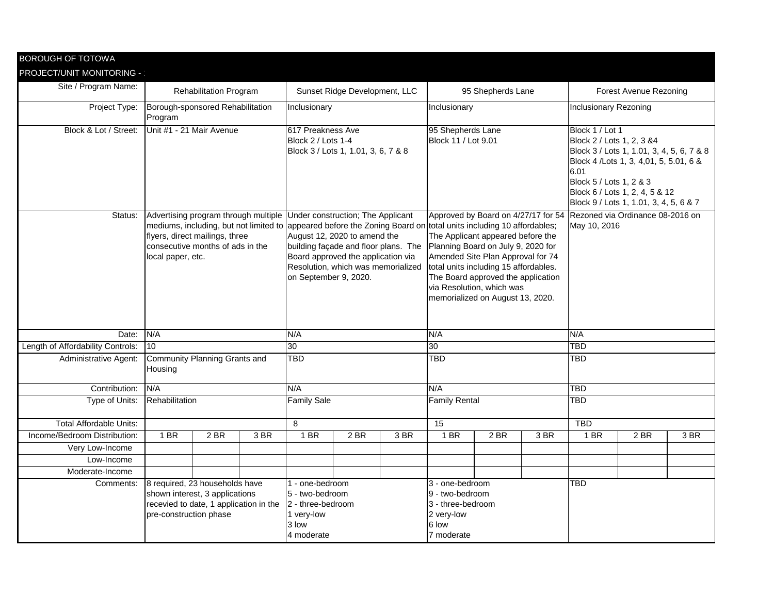| <b>BOROUGH OF TOTOWA</b>          |                                                                                                                                      |                                                                    |  |                                                                                              |                                                                                                                                                  |      |                                                                                                                                                        |                                                                                                                                                                                                                        |     |                                                                                                                                                                                                                                                      |      |      |
|-----------------------------------|--------------------------------------------------------------------------------------------------------------------------------------|--------------------------------------------------------------------|--|----------------------------------------------------------------------------------------------|--------------------------------------------------------------------------------------------------------------------------------------------------|------|--------------------------------------------------------------------------------------------------------------------------------------------------------|------------------------------------------------------------------------------------------------------------------------------------------------------------------------------------------------------------------------|-----|------------------------------------------------------------------------------------------------------------------------------------------------------------------------------------------------------------------------------------------------------|------|------|
| PROJECT/UNIT MONITORING -         |                                                                                                                                      |                                                                    |  |                                                                                              |                                                                                                                                                  |      |                                                                                                                                                        |                                                                                                                                                                                                                        |     |                                                                                                                                                                                                                                                      |      |      |
| Site / Program Name:              |                                                                                                                                      | <b>Rehabilitation Program</b>                                      |  |                                                                                              | Sunset Ridge Development, LLC                                                                                                                    |      |                                                                                                                                                        | 95 Shepherds Lane                                                                                                                                                                                                      |     | <b>Forest Avenue Rezoning</b>                                                                                                                                                                                                                        |      |      |
| Project Type:                     | Borough-sponsored Rehabilitation<br>Program                                                                                          |                                                                    |  | Inclusionary                                                                                 |                                                                                                                                                  |      | Inclusionary                                                                                                                                           |                                                                                                                                                                                                                        |     | Inclusionary Rezoning                                                                                                                                                                                                                                |      |      |
| Block & Lot / Street:             | Unit #1 - 21 Mair Avenue                                                                                                             |                                                                    |  | 617 Preakness Ave<br>Block 2 / Lots 1-4                                                      | Block 3 / Lots 1, 1.01, 3, 6, 7 & 8                                                                                                              |      | 95 Shepherds Lane<br>Block 11 / Lot 9.01                                                                                                               |                                                                                                                                                                                                                        |     | Block 1 / Lot 1<br>Block 2 / Lots 1, 2, 3 & 4<br>Block 3 / Lots 1, 1.01, 3, 4, 5, 6, 7 & 8<br>Block 4 / Lots 1, 3, 4,01, 5, 5.01, 6 &<br>6.01<br>Block 5 / Lots 1, 2 & 3<br>Block 6 / Lots 1, 2, 4, 5 & 12<br>Block 9 / Lots 1, 1.01, 3, 4, 5, 6 & 7 |      |      |
| Status:                           | Advertising program through multiple Under construction; The Applicant<br>local paper, etc.                                          | flyers, direct mailings, three<br>consecutive months of ads in the |  | on September 9, 2020.                                                                        | August 12, 2020 to amend the<br>building façade and floor plans. The<br>Board approved the application via<br>Resolution, which was memorialized |      | mediums, including, but not limited to appeared before the Zoning Board on total units including 10 affordables;<br>Planning Board on July 9, 2020 for | The Applicant appeared before the<br>Amended Site Plan Approval for 74<br>total units including 15 affordables.<br>The Board approved the application<br>via Resolution, which was<br>memorialized on August 13, 2020. |     | Approved by Board on 4/27/17 for 54 Rezoned via Ordinance 08-2016 on<br>May 10, 2016                                                                                                                                                                 |      |      |
| Date:                             | N/A                                                                                                                                  |                                                                    |  | N/A                                                                                          |                                                                                                                                                  |      | N/A                                                                                                                                                    |                                                                                                                                                                                                                        |     | N/A                                                                                                                                                                                                                                                  |      |      |
| Length of Affordability Controls: | $\vert$ 10                                                                                                                           |                                                                    |  | 30                                                                                           |                                                                                                                                                  |      | 30                                                                                                                                                     |                                                                                                                                                                                                                        |     | <b>TBD</b>                                                                                                                                                                                                                                           |      |      |
| <b>Administrative Agent:</b>      | <b>Community Planning Grants and</b><br>Housing                                                                                      |                                                                    |  | <b>TBD</b>                                                                                   |                                                                                                                                                  |      | <b>TBD</b>                                                                                                                                             |                                                                                                                                                                                                                        |     | TBD                                                                                                                                                                                                                                                  |      |      |
| Contribution: N/A                 |                                                                                                                                      |                                                                    |  | N/A                                                                                          |                                                                                                                                                  |      | N/A                                                                                                                                                    |                                                                                                                                                                                                                        |     | <b>TBD</b>                                                                                                                                                                                                                                           |      |      |
| Type of Units:                    | Rehabilitation                                                                                                                       |                                                                    |  | <b>Family Sale</b>                                                                           |                                                                                                                                                  |      | <b>Family Rental</b>                                                                                                                                   |                                                                                                                                                                                                                        |     | <b>TBD</b>                                                                                                                                                                                                                                           |      |      |
| <b>Total Affordable Units:</b>    |                                                                                                                                      |                                                                    |  | 8                                                                                            |                                                                                                                                                  |      | 15                                                                                                                                                     |                                                                                                                                                                                                                        |     | <b>TBD</b>                                                                                                                                                                                                                                           |      |      |
| Income/Bedroom Distribution:      | 1 BR<br>2BR<br>3 BR                                                                                                                  |                                                                    |  | $1$ BR                                                                                       | 2 BR                                                                                                                                             | 3 BR | 1 BR                                                                                                                                                   | 2 BR                                                                                                                                                                                                                   | 3BR | 1 BR                                                                                                                                                                                                                                                 | 2 BR | 3 BR |
| Very Low-Income                   |                                                                                                                                      |                                                                    |  |                                                                                              |                                                                                                                                                  |      |                                                                                                                                                        |                                                                                                                                                                                                                        |     |                                                                                                                                                                                                                                                      |      |      |
| Low-Income                        |                                                                                                                                      |                                                                    |  |                                                                                              |                                                                                                                                                  |      |                                                                                                                                                        |                                                                                                                                                                                                                        |     |                                                                                                                                                                                                                                                      |      |      |
| Moderate-Income                   |                                                                                                                                      |                                                                    |  |                                                                                              |                                                                                                                                                  |      |                                                                                                                                                        |                                                                                                                                                                                                                        |     |                                                                                                                                                                                                                                                      |      |      |
| Comments:                         | 8 required, 23 households have<br>shown interest, 3 applications<br>recevied to date, 1 application in the<br>pre-construction phase |                                                                    |  | 1 - one-bedroom<br>5 - two-bedroom<br>2 - three-bedroom<br>1 very-low<br>3 low<br>4 moderate |                                                                                                                                                  |      | 3 - one-bedroom<br>9 - two-bedroom<br>3 - three-bedroom<br>2 very-low<br>6 low<br>7 moderate                                                           |                                                                                                                                                                                                                        |     | <b>TBD</b>                                                                                                                                                                                                                                           |      |      |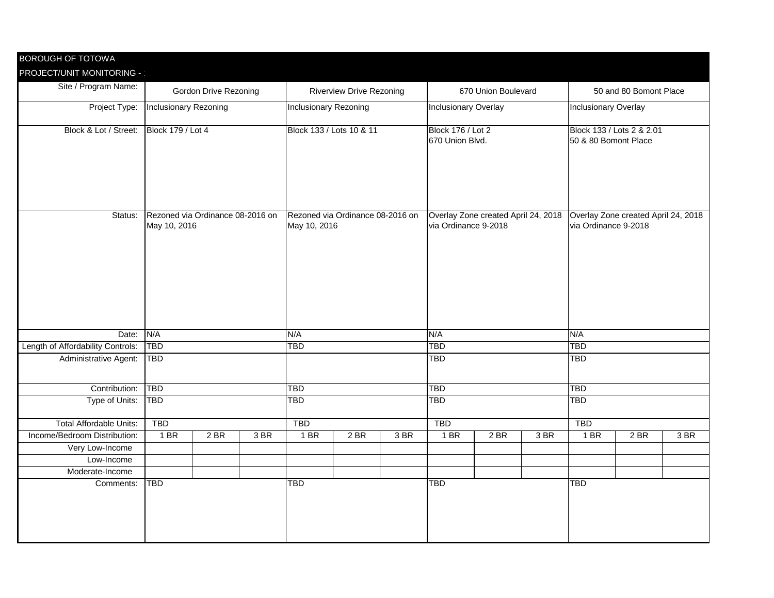| <b>BOROUGH OF TOTOWA</b>          |                                                  |      |      |                              |                                  |     |                             |                                     |      |                                                             |      |      |  |
|-----------------------------------|--------------------------------------------------|------|------|------------------------------|----------------------------------|-----|-----------------------------|-------------------------------------|------|-------------------------------------------------------------|------|------|--|
| PROJECT/UNIT MONITORING -         |                                                  |      |      |                              |                                  |     |                             |                                     |      |                                                             |      |      |  |
| Site / Program Name:              | <b>Gordon Drive Rezoning</b>                     |      |      |                              | <b>Riverview Drive Rezoning</b>  |     |                             | 670 Union Boulevard                 |      | 50 and 80 Bomont Place                                      |      |      |  |
| Project Type:                     | Inclusionary Rezoning                            |      |      | <b>Inclusionary Rezoning</b> |                                  |     | <b>Inclusionary Overlay</b> |                                     |      | <b>Inclusionary Overlay</b>                                 |      |      |  |
| Block & Lot / Street:             | <b>Block 179 / Lot 4</b>                         |      |      |                              | Block 133 / Lots 10 & 11         |     | <b>Block 176 / Lot 2</b>    |                                     |      | Block 133 / Lots 2 & 2.01                                   |      |      |  |
|                                   |                                                  |      |      |                              |                                  |     | 670 Union Blvd.             |                                     |      | 50 & 80 Bomont Place                                        |      |      |  |
| Status:                           | Rezoned via Ordinance 08-2016 on<br>May 10, 2016 |      |      | May 10, 2016                 | Rezoned via Ordinance 08-2016 on |     | via Ordinance 9-2018        | Overlay Zone created April 24, 2018 |      | Overlay Zone created April 24, 2018<br>via Ordinance 9-2018 |      |      |  |
| Date:                             | N/A                                              |      |      | N/A                          |                                  |     | N/A                         |                                     |      | N/A                                                         |      |      |  |
| Length of Affordability Controls: | <b>TBD</b>                                       |      |      | <b>TBD</b>                   |                                  |     | <b>TBD</b>                  |                                     |      | <b>TBD</b>                                                  |      |      |  |
| <b>Administrative Agent:</b>      | <b>TBD</b>                                       |      |      |                              |                                  |     | <b>TBD</b>                  |                                     |      | <b>TBD</b>                                                  |      |      |  |
| Contribution: TBD                 |                                                  |      |      | TBD                          |                                  |     | TBD                         |                                     |      | TBD                                                         |      |      |  |
| Type of Units:                    | <b>TBD</b>                                       |      |      | <b>TBD</b>                   |                                  |     | <b>TBD</b>                  |                                     |      | <b>TBD</b>                                                  |      |      |  |
| <b>Total Affordable Units:</b>    | <b>TBD</b>                                       |      |      | <b>TBD</b>                   |                                  |     | <b>TBD</b>                  |                                     |      | <b>TBD</b>                                                  |      |      |  |
| Income/Bedroom Distribution:      | 1 BR                                             | 2 BR | 3 BR | 1 BR                         | 2 BR                             | 3BR | 1 BR                        | $2$ BR                              | 3 BR | 1 BR                                                        | 2 BR | 3 BR |  |
| Very Low-Income                   |                                                  |      |      |                              |                                  |     |                             |                                     |      |                                                             |      |      |  |
| Low-Income                        |                                                  |      |      |                              |                                  |     |                             |                                     |      |                                                             |      |      |  |
| Moderate-Income                   |                                                  |      |      |                              |                                  |     |                             |                                     |      |                                                             |      |      |  |
| Comments:                         | <b>TBD</b>                                       |      |      | <b>TBD</b>                   |                                  |     | <b>TBD</b>                  |                                     |      | <b>TBD</b>                                                  |      |      |  |